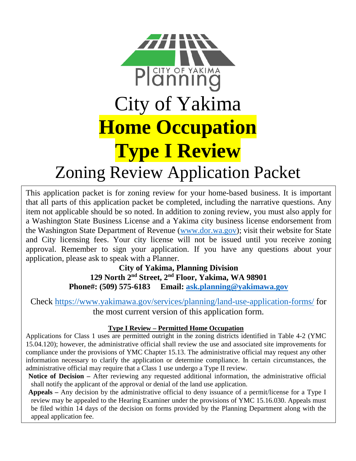

# Zoning Review Application Packet

This application packet is for zoning review for your home-based business. It is important that all parts of this application packet be completed, including the narrative questions. Any item not applicable should be so noted. In addition to zoning review, you must also apply for a Washington State Business License and a Yakima city business license endorsement from the Washington State Department of Revenue [\(www.dor.wa.gov\)](http://www.dor.wa.gov/); visit their website for State and City licensing fees. Your city license will not be issued until you receive zoning approval. Remember to sign your application. If you have any questions about your application, please ask to speak with a Planner.

**City of Yakima, Planning Division 129 North 2nd Street, 2nd Floor, Yakima, WA 98901 Phone#: (509) 575-6183 Email: [ask.planning@yakimawa.gov](mailto:ask.planning@yakimawa.gov)**

Check<https://www.yakimawa.gov/services/planning/land-use-application-forms/> for the most current version of this application form.

## **Type I Review – Permitted Home Occupation**

Applications for Class 1 uses are permitted outright in the zoning districts identified in Table 4-2 (YMC 15.04.120); however, the administrative official shall review the use and associated site improvements for compliance under the provisions of YMC Chapter 15.13. The administrative official may request any other information necessary to clarify the application or determine compliance. In certain circumstances, the administrative official may require that a Class 1 use undergo a Type II review.

**Notice of Decision –** After reviewing any requested additional information, the administrative official shall notify the applicant of the approval or denial of the land use application.

**Appeals –** Any decision by the administrative official to deny issuance of a permit/license for a Type I review may be appealed to the Hearing Examiner under the provisions of YMC 15.16.030. Appeals must be filed within 14 days of the decision on forms provided by the Planning Department along with the appeal application fee.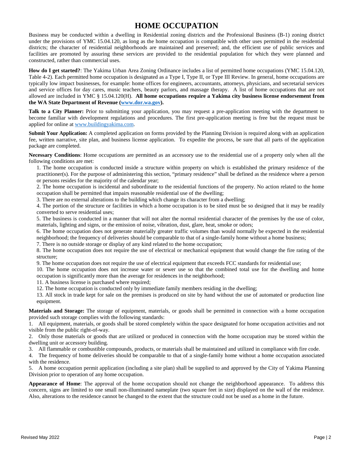## **HOME OCCUPATION**

Business may be conducted within a dwelling in Residential zoning districts and the Professional Business (B-1) zoning district under the provisions of YMC 15.04.120, as long as the home occupation is compatible with other uses permitted in the residential districts; the character of residential neighborhoods are maintained and preserved; and, the efficient use of public services and facilities are promoted by assuring these services are provided to the residential population for which they were planned and constructed, rather than commercial uses.

**How do I get started?**: The Yakima Urban Area Zoning Ordinance includes a list of permitted home occupations (YMC 15.04.120, Table 4-2). Each permitted home occupation is designated as a Type I, Type II, or Type III Review. In general, home occupations are typically low impact businesses, for example: home offices for engineers, accountants, attorneys, physicians, and secretarial services and service offices for day cares, music teachers, beauty parlors, and massage therapy. A list of home occupations that are not allowed are included in YMC § 15.04.120(H). **All home occupations require a Yakima city business license endorsement from the WA State Department of Revenue [\(www.dor.wa.gov\)](http://www.dor.wa.gov/).**

**Talk to a City Planner:** Prior to submitting your application, you may request a pre-application meeting with the department to become familiar with development regulations and procedures. The first pre-application meeting is free but the request must be applied for online a[t www.buildingyakima.com.](http://www.buildingyakima.com/)

**Submit Your Application:** A completed application on forms provided by the Planning Division is required along with an application fee, written narrative, site plan, and business license application. To expedite the process, be sure that all parts of the application package are completed.

**Necessary Conditions**: Home occupations are permitted as an accessory use to the residential use of a property only when all the following conditions are met:

1. The home occupation is conducted inside a structure within property on which is established the primary residence of the practitioner(s). For the purpose of administering this section, "primary residence" shall be defined as the residence where a person or persons resides for the majority of the calendar year;

2. The home occupation is incidental and subordinate to the residential functions of the property. No action related to the home occupation shall be permitted that impairs reasonable residential use of the dwelling;

3. There are no external alterations to the building which change its character from a dwelling;

4. The portion of the structure or facilities in which a home occupation is to be sited must be so designed that it may be readily converted to serve residential uses;

5. The business is conducted in a manner that will not alter the normal residential character of the premises by the use of color, materials, lighting and signs, or the emission of noise, vibration, dust, glare, heat, smoke or odors;

6. The home occupation does not generate materially greater traffic volumes than would normally be expected in the residential neighborhood; the frequency of deliveries should be comparable to that of a single-family home without a home business;

7. There is no outside storage or display of any kind related to the home occupation;

8. The home occupation does not require the use of electrical or mechanical equipment that would change the fire rating of the structure;

9. The home occupation does not require the use of electrical equipment that exceeds FCC standards for residential use;

10. The home occupation does not increase water or sewer use so that the combined total use for the dwelling and home occupation is significantly more than the average for residences in the neighborhood;

11. A business license is purchased where required;

12. The home occupation is conducted only by immediate family members residing in the dwelling;

13. All stock in trade kept for sale on the premises is produced on site by hand without the use of automated or production line equipment.

**Materials and Storage:** The storage of equipment, materials, or goods shall be permitted in connection with a home occupation provided such storage complies with the following standards:

1. All equipment, materials, or goods shall be stored completely within the space designated for home occupation activities and not visible from the public right-of-way.

2. Only those materials or goods that are utilized or produced in connection with the home occupation may be stored within the dwelling unit or accessory building.

3. All flammable or combustible compounds, products, or materials shall be maintained and utilized in compliance with fire code.

4. The frequency of home deliveries should be comparable to that of a single-family home without a home occupation associated with the residence.

5. A home occupation permit application (including a site plan) shall be supplied to and approved by the City of Yakima Planning Division prior to operation of any home occupation.

**Appearance of Home**: The approval of the home occupation should not change the neighborhood appearance. To address this concern, signs are limited to one small non-illuminated nameplate (two square feet in size) displayed on the wall of the residence. Also, alterations to the residence cannot be changed to the extent that the structure could not be used as a home in the future.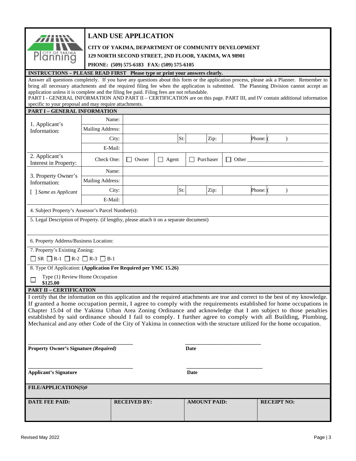| 77       |
|----------|
|          |
| ซักก็ก๊ก |

## **LAND USE APPLICATION**

#### **CITY OF YAKIMA, DEPARTMENT OF COMMUNITY DEVELOPMENT**

**129 NORTH SECOND STREET, 2ND FLOOR, YAKIMA, WA 98901**

**PHONE: (509) 575-6183 FAX: (509) 575-6105**

### **INSTRUCTIONS – PLEASE READ FIRST Please type or print your answers clearly.**

Answer all questions completely. If you have any questions about this form or the application process, please ask a Planner. Remember to bring all necessary attachments and the required filing fee when the application is submitted. The Planning Division cannot accept an application unless it is complete and the filing fee paid. Filing fees are not refundable. PART I - GENERAL INFORMATION AND PART II – CERTIFICATION are on this page. PART III, and IV contain additional information specific to your proposal and may require attachments.

| <b>PART I - GENERAL INFORMATION</b>                                                                                                                                                                                                                                                                                                                                                                                                                                                                                                                                                                              |                         |                         |              |                     |       |                    |               |  |  |
|------------------------------------------------------------------------------------------------------------------------------------------------------------------------------------------------------------------------------------------------------------------------------------------------------------------------------------------------------------------------------------------------------------------------------------------------------------------------------------------------------------------------------------------------------------------------------------------------------------------|-------------------------|-------------------------|--------------|---------------------|-------|--------------------|---------------|--|--|
|                                                                                                                                                                                                                                                                                                                                                                                                                                                                                                                                                                                                                  | Name:                   |                         |              |                     |       |                    |               |  |  |
| 1. Applicant's<br>Information:                                                                                                                                                                                                                                                                                                                                                                                                                                                                                                                                                                                   | Mailing Address:        |                         |              |                     |       |                    |               |  |  |
|                                                                                                                                                                                                                                                                                                                                                                                                                                                                                                                                                                                                                  | City:                   |                         | St:          | Zip:                |       | Phone: (           | $\mathcal{E}$ |  |  |
|                                                                                                                                                                                                                                                                                                                                                                                                                                                                                                                                                                                                                  | E-Mail:                 |                         |              |                     |       |                    |               |  |  |
| 2. Applicant's<br>Interest in Property:                                                                                                                                                                                                                                                                                                                                                                                                                                                                                                                                                                          | Check One:              | Owner<br>$\blacksquare$ | $\Box$ Agent | $\Box$ Purchaser    | Other |                    |               |  |  |
| 3. Property Owner's                                                                                                                                                                                                                                                                                                                                                                                                                                                                                                                                                                                              | Name:                   |                         |              |                     |       |                    |               |  |  |
| Information:                                                                                                                                                                                                                                                                                                                                                                                                                                                                                                                                                                                                     | <b>Mailing Address:</b> |                         |              |                     |       |                    |               |  |  |
| [ ] Same as Applicant                                                                                                                                                                                                                                                                                                                                                                                                                                                                                                                                                                                            | City:                   |                         | St:          | Zip:                |       | Phone: (           | $\mathcal{E}$ |  |  |
|                                                                                                                                                                                                                                                                                                                                                                                                                                                                                                                                                                                                                  | E-Mail:                 |                         |              |                     |       |                    |               |  |  |
| 4. Subject Property's Assessor's Parcel Number(s):                                                                                                                                                                                                                                                                                                                                                                                                                                                                                                                                                               |                         |                         |              |                     |       |                    |               |  |  |
| 5. Legal Description of Property. (if lengthy, please attach it on a separate document)                                                                                                                                                                                                                                                                                                                                                                                                                                                                                                                          |                         |                         |              |                     |       |                    |               |  |  |
|                                                                                                                                                                                                                                                                                                                                                                                                                                                                                                                                                                                                                  |                         |                         |              |                     |       |                    |               |  |  |
| 6. Property Address/Business Location:                                                                                                                                                                                                                                                                                                                                                                                                                                                                                                                                                                           |                         |                         |              |                     |       |                    |               |  |  |
| 7. Property's Existing Zoning:                                                                                                                                                                                                                                                                                                                                                                                                                                                                                                                                                                                   |                         |                         |              |                     |       |                    |               |  |  |
| $\Box$ SR $\Box$ R-1 $\Box$ R-2 $\Box$ R-3 $\Box$ B-1                                                                                                                                                                                                                                                                                                                                                                                                                                                                                                                                                            |                         |                         |              |                     |       |                    |               |  |  |
| 8. Type Of Application: (Application Fee Required per YMC 15.26)                                                                                                                                                                                                                                                                                                                                                                                                                                                                                                                                                 |                         |                         |              |                     |       |                    |               |  |  |
| Type (1) Review Home Occupation<br>\$125.00                                                                                                                                                                                                                                                                                                                                                                                                                                                                                                                                                                      |                         |                         |              |                     |       |                    |               |  |  |
| <b>PART II - CERTIFICATION</b>                                                                                                                                                                                                                                                                                                                                                                                                                                                                                                                                                                                   |                         |                         |              |                     |       |                    |               |  |  |
| I certify that the information on this application and the required attachments are true and correct to the best of my knowledge.<br>If granted a home occupation permit, I agree to comply with the requirements established for home occupations in<br>Chapter 15.04 of the Yakima Urban Area Zoning Ordinance and acknowledge that I am subject to those penalties<br>established by said ordinance should I fail to comply. I further agree to comply with all Building, Plumbing,<br>Mechanical and any other Code of the City of Yakima in connection with the structure utilized for the home occupation. |                         |                         |              |                     |       |                    |               |  |  |
| <b>Property Owner's Signature (Required)</b>                                                                                                                                                                                                                                                                                                                                                                                                                                                                                                                                                                     |                         |                         |              | Date                |       |                    |               |  |  |
| <b>Applicant's Signature</b>                                                                                                                                                                                                                                                                                                                                                                                                                                                                                                                                                                                     |                         |                         |              | Date                |       |                    |               |  |  |
| FILE/APPLICATION(S)#                                                                                                                                                                                                                                                                                                                                                                                                                                                                                                                                                                                             |                         |                         |              |                     |       |                    |               |  |  |
| <b>DATE FEE PAID:</b>                                                                                                                                                                                                                                                                                                                                                                                                                                                                                                                                                                                            |                         | <b>RECEIVED BY:</b>     |              | <b>AMOUNT PAID:</b> |       | <b>RECEIPT NO:</b> |               |  |  |
|                                                                                                                                                                                                                                                                                                                                                                                                                                                                                                                                                                                                                  |                         |                         |              |                     |       |                    |               |  |  |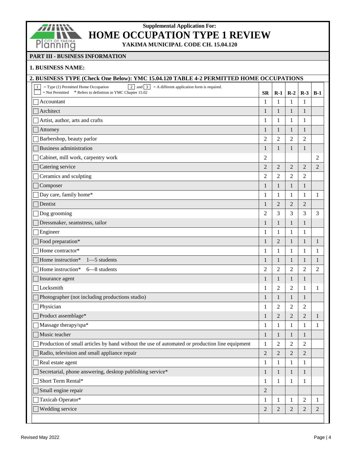

# **Supplemental Application For: HOME OCCUPATION TYPE 1 REVIEW**

**YAKIMA MUNICIPAL CODE CH. 15.04.120**

#### **PART III - BUSINESS INFORMATION**

#### **1. BUSINESS NAME:**

| 2. BUSINESS TYPE (Check One Below): YMC 15.04.120 TABLE 4-2 PERMITTED HOME OCCUPATIONS                                                                                                           |                |                |                |                |                |  |  |  |  |
|--------------------------------------------------------------------------------------------------------------------------------------------------------------------------------------------------|----------------|----------------|----------------|----------------|----------------|--|--|--|--|
| $\boxed{2}$ and $\boxed{3}$ = A different application form is required.<br>$1\vert$<br>$=$ Type (1) Permitted Home Occupation<br>$=$ Not Permitted $*$ Refers to definition in YMC Chapter 15.02 | <b>SR</b>      | $R-1$          | $R-2$          | $R-3$          | $B-1$          |  |  |  |  |
| Accountant                                                                                                                                                                                       | 1              | $\mathbf{1}$   | 1              | 1              |                |  |  |  |  |
| Architect                                                                                                                                                                                        | 1              | 1              | $\mathbf{1}$   | 1              |                |  |  |  |  |
| Artist, author, arts and crafts                                                                                                                                                                  | 1              | 1              | 1              | 1              |                |  |  |  |  |
| Attorney                                                                                                                                                                                         | 1              | 1              | $\mathbf{1}$   | 1              |                |  |  |  |  |
| Barbershop, beauty parlor                                                                                                                                                                        | $\overline{c}$ | $\overline{2}$ | $\mathfrak{2}$ | 2              |                |  |  |  |  |
| <b>Business administration</b>                                                                                                                                                                   | 1              | 1              | $\mathbf{1}$   | 1              |                |  |  |  |  |
| Cabinet, mill work, carpentry work                                                                                                                                                               | $\overline{c}$ |                |                |                | $\overline{2}$ |  |  |  |  |
| Catering service                                                                                                                                                                                 | $\mathbf{2}$   | $\overline{2}$ | $\overline{2}$ | $\overline{2}$ | 2              |  |  |  |  |
| Ceramics and sculpting                                                                                                                                                                           | 2              | 2              | 2              | 2              |                |  |  |  |  |
| Composer                                                                                                                                                                                         | 1              | 1              | $\mathbf{1}$   | $\mathbf{1}$   |                |  |  |  |  |
| Day care, family home*                                                                                                                                                                           | 1              | 1              | $\mathbf{1}$   | 1              | 1              |  |  |  |  |
| Dentist                                                                                                                                                                                          | 1              | $\overline{2}$ | 2              | 2              |                |  |  |  |  |
| Dog grooming                                                                                                                                                                                     | $\overline{2}$ | 3              | 3              | 3              | 3              |  |  |  |  |
| Dressmaker, seamstress, tailor                                                                                                                                                                   | 1              | $\mathbf{1}$   | $\mathbf{1}$   | 1              |                |  |  |  |  |
| Engineer                                                                                                                                                                                         | 1              | 1              | 1              | 1              |                |  |  |  |  |
| Food preparation*                                                                                                                                                                                | 1              | $\overline{2}$ | $\mathbf{1}$   | 1              | 1              |  |  |  |  |
| Home contractor*                                                                                                                                                                                 | 1              | $\mathbf{1}$   | $\mathbf{1}$   | 1              | 1              |  |  |  |  |
| Home instruction*<br>$1 - 5$ students                                                                                                                                                            | 1              | 1              | $\mathbf{1}$   | 1              | 1              |  |  |  |  |
| Home instruction*<br>$6 - 8$ students                                                                                                                                                            | $\overline{2}$ | $\overline{2}$ | $\overline{2}$ | $\overline{c}$ | $\overline{2}$ |  |  |  |  |
| Insurance agent                                                                                                                                                                                  | 1              | $\mathbf{1}$   | $\mathbf{1}$   | 1              |                |  |  |  |  |
| Locksmith                                                                                                                                                                                        | 1              | 2              | 2              | 1              | 1              |  |  |  |  |
| Photographer (not including productions studio)                                                                                                                                                  | 1              | $\mathbf{1}$   | $\mathbf{1}$   | 1              |                |  |  |  |  |
| Physician                                                                                                                                                                                        | 1              | $\overline{2}$ | $\overline{2}$ | 2              |                |  |  |  |  |
| Product assemblage*                                                                                                                                                                              | 1              | $\overline{2}$ | $\overline{c}$ | $\mathbf{2}$   | 1              |  |  |  |  |
| Massage therapy/spa*                                                                                                                                                                             | 1              | 1              | $\mathbf{1}$   | 1              | 1              |  |  |  |  |
| Music teacher                                                                                                                                                                                    | $\mathbf{1}$   | $\mathbf{1}$   | $\mathbf{1}$   | $\,1\,$        |                |  |  |  |  |
| Production of small articles by hand without the use of automated or production line equipment                                                                                                   | 1              | 2              | 2              | 2              |                |  |  |  |  |
| Radio, television and small appliance repair                                                                                                                                                     | $\overline{c}$ | $\overline{2}$ | $\overline{c}$ | $\overline{c}$ |                |  |  |  |  |
| Real estate agent                                                                                                                                                                                | 1              | 1              | $\mathbf{1}$   | 1              |                |  |  |  |  |
| Secretarial, phone answering, desktop publishing service*                                                                                                                                        | 1              | $\mathbf{1}$   | $\mathbf{1}$   | $\mathbf{1}$   |                |  |  |  |  |
| Short Term Rental*                                                                                                                                                                               | 1              | $\mathbf{1}$   | $\mathbf{1}$   | 1              |                |  |  |  |  |
| Small engine repair                                                                                                                                                                              | $\overline{2}$ |                |                |                |                |  |  |  |  |
| Taxicab Operator*                                                                                                                                                                                | 1              | 1              | 1              | 2              | 1              |  |  |  |  |
| Wedding service                                                                                                                                                                                  | $\overline{c}$ | $\overline{2}$ | $\overline{c}$ | 2              | $\sqrt{2}$     |  |  |  |  |
|                                                                                                                                                                                                  |                |                |                |                |                |  |  |  |  |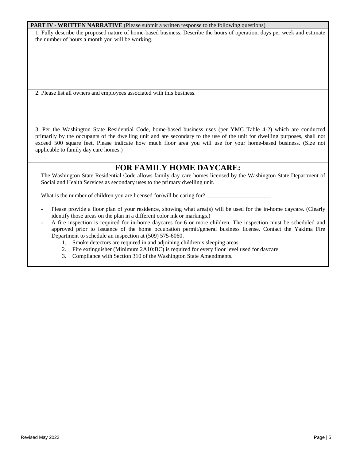#### **PART IV - WRITTEN NARRATIVE** (Please submit a written response to the following questions)

1. Fully describe the proposed nature of home-based business. Describe the hours of operation, days per week and estimate the number of hours a month you will be working.

2. Please list all owners and employees associated with this business.

3. Per the Washington State Residential Code, home-based business uses (per YMC Table 4-2) which are conducted primarily by the occupants of the dwelling unit and are secondary to the use of the unit for dwelling purposes, shall not exceed 500 square feet. Please indicate how much floor area you will use for your home-based business. (Size not applicable to family day care homes.)

## **FOR FAMILY HOME DAYCARE:**

The Washington State Residential Code allows family day care homes licensed by the Washington State Department of Social and Health Services as secondary uses to the primary dwelling unit.

What is the number of children you are licensed for/will be caring for?

- Please provide a floor plan of your residence, showing what area(s) will be used for the in-home daycare. (Clearly identify those areas on the plan in a different color ink or markings.)
- A fire inspection is required for in-home daycares for 6 or more children. The inspection must be scheduled and approved prior to issuance of the home occupation permit/general business license. Contact the Yakima Fire Department to schedule an inspection at (509) 575-6060.
	- 1. Smoke detectors are required in and adjoining children's sleeping areas.
	- 2. Fire extinguisher (Minimum 2A10:BC) is required for every floor level used for daycare.
	- 3. Compliance with Section 310 of the Washington State Amendments.